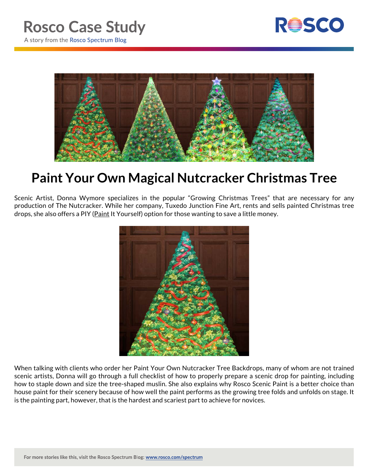



## **Paint Your Own Magical Nutcracker Christmas Tree**

Scenic Artist, Donna Wymore specializes in the popular "Growing Christmas Trees" that are necessary for any production of The Nutcracker. While her company, Tuxedo Junction Fine Art, rents and sells painted Christmas tree drops, she also offers a PIY (Paint It Yourself) option for those wanting to save a little money.



When talking with clients who order her Paint Your Own Nutcracker Tree Backdrops, many of whom are not trained scenic artists, Donna will go through a full checklist of how to properly prepare a scenic drop for painting, including how to staple down and size the tree-shaped muslin. She also explains why Rosco Scenic Paint is a better choice than house paint for their scenery because of how well the paint performs as the growing tree folds and unfolds on stage. It is the painting part, however, that is the hardest and scariest part to achieve for novices.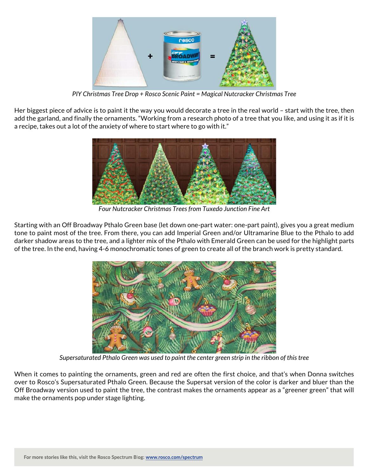

*PIY Christmas Tree Drop + Rosco Scenic Paint = Magical Nutcracker Christmas Tree*

Her biggest piece of advice is to paint it the way you would decorate a tree in the real world – start with the tree, then add the garland, and finally the ornaments. "Working from a research photo of a tree that you like, and using it as if it is a recipe, takes out a lot of the anxiety of where to start where to go with it."



*Four Nutcracker Christmas Trees from Tuxedo Junction Fine Art*

Starting with an Off Broadway Pthalo Green base (let down one-part water: one-part paint), gives you a great medium tone to paint most of the tree. From there, you can add Imperial Green and/or Ultramarine Blue to the Pthalo to add darker shadow areas to the tree, and a lighter mix of the Pthalo with Emerald Green can be used for the highlight parts of the tree. In the end, having 4-6 monochromatic tones of green to create all of the branch work is pretty standard.



*Supersaturated Pthalo Green was used to paint the center green strip in the ribbon of this tree*

When it comes to painting the ornaments, green and red are often the first choice, and that's when Donna switches over to Rosco's Supersaturated Pthalo Green. Because the Supersat version of the color is darker and bluer than the Off Broadway version used to paint the tree, the contrast makes the ornaments appear as a "greener green" that will make the ornaments pop under stage lighting.